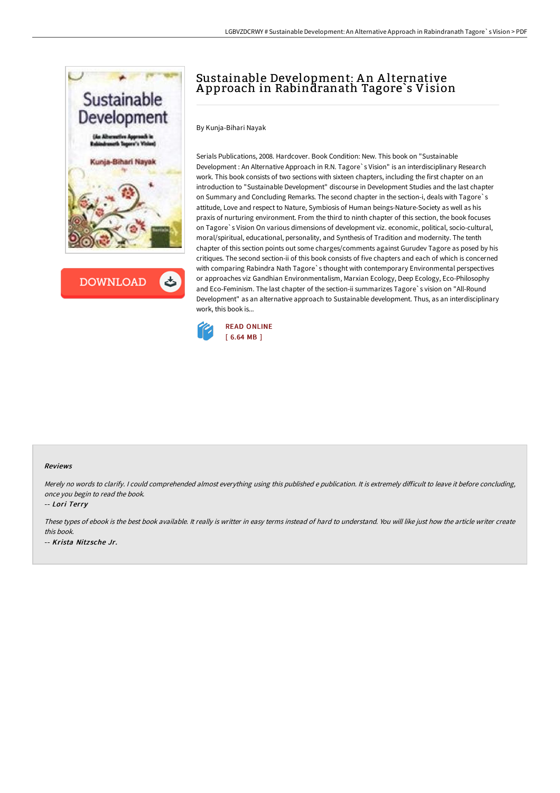

**DOWNLOAD** 

# Sustainable Development: A n A lternative A pproach in Rabindranath Tagore`s Vision

By Kunja-Bihari Nayak

Serials Publications, 2008. Hardcover. Book Condition: New. This book on "Sustainable Development : An Alternative Approach in R.N. Tagore`s Vision" is an interdisciplinary Research work. This book consists of two sections with sixteen chapters, including the first chapter on an introduction to "Sustainable Development" discourse in Development Studies and the last chapter on Summary and Concluding Remarks. The second chapter in the section-i, deals with Tagore`s attitude, Love and respect to Nature, Symbiosis of Human beings-Nature-Society as well as his praxis of nurturing environment. From the third to ninth chapter of this section, the book focuses on Tagore`s Vision On various dimensions of development viz. economic, political, socio-cultural, moral/spiritual, educational, personality, and Synthesis of Tradition and modernity. The tenth chapter of this section points out some charges/comments against Gurudev Tagore as posed by his critiques. The second section-ii of this book consists of five chapters and each of which is concerned with comparing Rabindra Nath Tagore`s thought with contemporary Environmental perspectives or approaches viz Gandhian Environmentalism, Marxian Ecology, Deep Ecology, Eco-Philosophy and Eco-Feminism. The last chapter of the section-ii summarizes Tagore`s vision on "All-Round Development" as an alternative approach to Sustainable development. Thus, as an interdisciplinary work, this book is...



#### Reviews

Merely no words to clarify. I could comprehended almost everything using this published e publication. It is extremely difficult to leave it before concluding, once you begin to read the book.

-- Lori Terry

These types of ebook is the best book available. It really is writter in easy terms instead of hard to understand. You will like just how the article writer create this book. -- Krista Nitz sche Jr.